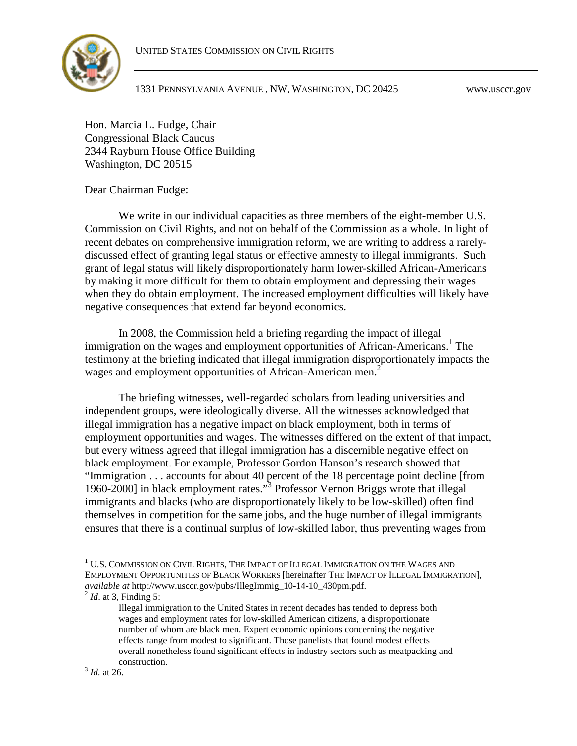

Hon. Marcia L. Fudge, Chair Congressional Black Caucus 2344 Rayburn House Office Building Washington, DC 20515

Dear Chairman Fudge:

We write in our individual capacities as three members of the eight-member U.S. Commission on Civil Rights, and not on behalf of the Commission as a whole. In light of recent debates on comprehensive immigration reform, we are writing to address a rarelydiscussed effect of granting legal status or effective amnesty to illegal immigrants. Such grant of legal status will likely disproportionately harm lower-skilled African-Americans by making it more difficult for them to obtain employment and depressing their wages when they do obtain employment. The increased employment difficulties will likely have negative consequences that extend far beyond economics.

In 2008, the Commission held a briefing regarding the impact of illegal immigration on the wages and employment opportunities of African-Americans.<sup>[1](#page-0-0)</sup> The testimony at the briefing indicated that illegal immigration disproportionately impacts the wagesand employment opportunities of African-American men[.](#page-0-1)<sup>2</sup>

The briefing witnesses, well-regarded scholars from leading universities and independent groups, were ideologically diverse. All the witnesses acknowledged that illegal immigration has a negative impact on black employment, both in terms of employment opportunities and wages. The witnesses differed on the extent of that impact, but every witness agreed that illegal immigration has a discernible negative effect on black employment. For example, Professor Gordon Hanson's research showed that "Immigration . . . accounts for about 40 percent of the 18 percentage point decline [from 1960-2000] in black employment rates."[3](#page-0-2) Professor Vernon Briggs wrote that illegal immigrants and blacks (who are disproportionately likely to be low-skilled) often find themselves in competition for the same jobs, and the huge number of illegal immigrants ensures that there is a continual surplus of low-skilled labor, thus preventing wages from

<span id="page-0-0"></span> $^{\rm 1}$  U.S. COMMISSION ON CIVIL RIGHTS, THE IMPACT OF ILLEGAL IMMIGRATION ON THE WAGES AND EMPLOYMENT OPPORTUNITIES OF BLACK WORKERS [hereinafter THE IMPACT OF ILLEGAL IMMIGRATION], *available at* http://www.usccr.gov/pubs/IllegImmig\_10-14-10\_430pm.pdf.

<span id="page-0-1"></span><sup>2</sup> *Id*. at 3, Finding 5:

<span id="page-0-2"></span>Illegal immigration to the United States in recent decades has tended to depress both wages and employment rates for low-skilled American citizens, a disproportionate number of whom are black men. Expert economic opinions concerning the negative effects range from modest to significant. Those panelists that found modest effects overall nonetheless found significant effects in industry sectors such as meatpacking and construction.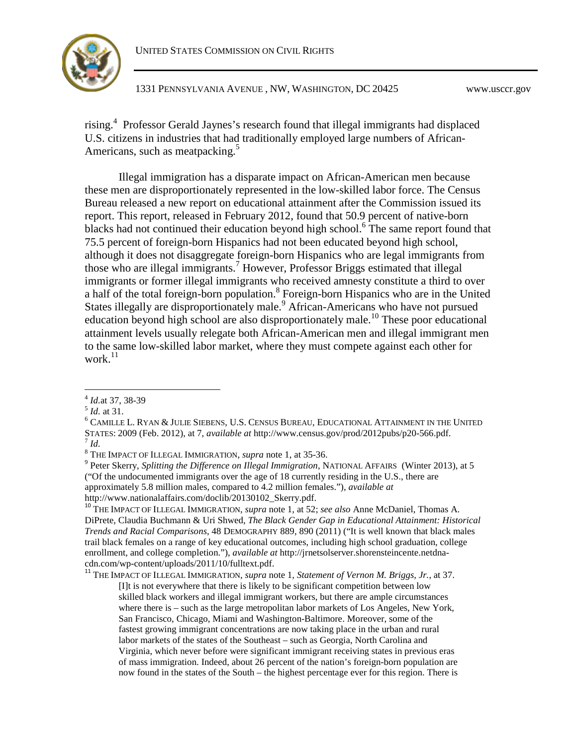

rising.<sup>[4](#page-1-0)</sup> Professor Gerald Jaynes's research found that illegal immigrants had displaced U.S. citizens in industries that had traditionally employed large numbers of African-Americans, such as meatpacking.<sup>[5](#page-1-1)</sup>

Illegal immigration has a disparate impact on African-American men because these men are disproportionately represented in the low-skilled labor force. The Census Bureau released a new report on educational attainment after the Commission issued its report. This report, released in February 2012, found that 50.9 percent of native-born blacks had not continued their education beyond high school.<sup>[6](#page-1-2)</sup> The same report found that 75.5 percent of foreign-born Hispanics had not been educated beyond high school, although it does not disaggregate foreign-born Hispanics who are legal immigrants from those who are illegal immigrants.[7](#page-1-3) However, Professor Briggs estimated that illegal immigrants or former illegal immigrants who received amnesty constitute a third to over a half of the total foreign-born population.<sup>[8](#page-1-4)</sup> Foreign-born Hispanics who are in the United Statesillegally are disproportionately male[.](#page-1-5)<sup>9</sup> African-Americans who have not pursued educationbeyond high school are also disproportionately male[.](#page-1-6)<sup>10</sup> These poor educational attainment levels usually relegate both African-American men and illegal immigrant men to the same low-skilled labor market, where they must compete against each other for work. $^{11}$  $^{11}$  $^{11}$ 

 $^6$  CAMILLE L. RYAN & JULIE SIEBENS, U.S. CENSUS BUREAU, EDUCATIONAL ATTAINMENT IN THE UNITED STATES: 2009 (Feb. 2012), at 7, *available at* http://www.census.gov/prod/2012pubs/p20-566.pdf.

9 Peter Skerry, *Splitting the Difference on Illegal Immigration*, NATIONAL AFFAIRS (Winter 2013), at 5 ("Of the undocumented immigrants over the age of 18 currently residing in the U.S., there are approximately 5.8 million males, compared to 4.2 million females."), *available at*

<span id="page-1-6"></span>http://www.nationalaffairs.com/doclib/20130102\_Skerry.pdf.

<sup>10</sup> THE IMPACT OF ILLEGAL IMMIGRATION, *supra* note 1, at 52; *see also* Anne McDaniel, Thomas A. DiPrete, Claudia Buchmann & Uri Shwed, *The Black Gender Gap in Educational Attainment: Historical Trends and Racial Comparisons*, 48 DEMOGRAPHY 889, 890 (2011) ("It is well known that black males trail black females on a range of key educational outcomes, including high school graduation, college enrollment, and college completion."), *available at* http://jrnetsolserver.shorensteincente.netdnacdn.com/wp-content/uploads/2011/10/fulltext.pdf.

<span id="page-1-7"></span><sup>11</sup> THE IMPACT OF ILLEGAL IMMIGRATION, *supra* note 1, *Statement of Vernon M. Briggs, Jr.*, at 37. [I]t is not everywhere that there is likely to be significant competition between low skilled black workers and illegal immigrant workers, but there are ample circumstances where there is – such as the large metropolitan labor markets of Los Angeles, New York, San Francisco, Chicago, Miami and Washington-Baltimore. Moreover, some of the fastest growing immigrant concentrations are now taking place in the urban and rural labor markets of the states of the Southeast – such as Georgia, North Carolina and Virginia, which never before were significant immigrant receiving states in previous eras of mass immigration. Indeed, about 26 percent of the nation's foreign-born population are now found in the states of the South – the highest percentage ever for this region. There is

<span id="page-1-1"></span><span id="page-1-0"></span><sup>4</sup> *Id.*at 37, 38-39

<span id="page-1-2"></span><sup>5</sup> *Id.* at 31.

<span id="page-1-4"></span><span id="page-1-3"></span><sup>7</sup> *Id.*

<span id="page-1-5"></span><sup>8</sup> THE IMPACT OF ILLEGAL IMMIGRATION, *supra* note 1, at 35-36.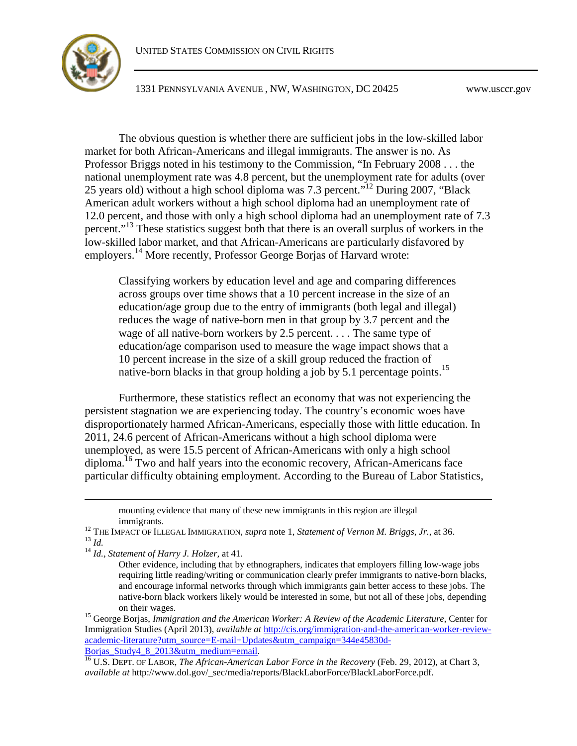

The obvious question is whether there are sufficient jobs in the low-skilled labor market for both African-Americans and illegal immigrants. The answer is no. As Professor Briggs noted in his testimony to the Commission, "In February 2008 . . . the national unemployment rate was 4.8 percent, but the unemployment rate for adults (over 25 years old) without a high school diploma was 7.3 percent."[12](#page-2-0) During 2007, "Black American adult workers without a high school diploma had an unemployment rate of 12.0 percent, and those with only a high school diploma had an unemployment rate of 7.3 percent."<sup>[13](#page-2-1)</sup> These statistics suggest both that there is an overall surplus of workers in the low-skilled labor market, and that African-Americans are particularly disfavored by employers.<sup>[14](#page-2-2)</sup> More recently, Professor George Borjas of Harvard wrote:

Classifying workers by education level and age and comparing differences across groups over time shows that a 10 percent increase in the size of an education/age group due to the entry of immigrants (both legal and illegal) reduces the wage of native-born men in that group by 3.7 percent and the wage of all native-born workers by 2.5 percent. . . . The same type of education/age comparison used to measure the wage impact shows that a 10 percent increase in the size of a skill group reduced the fraction of native-born blacks in that group holding a job by 5.1 percentage points.<sup>[15](#page-2-3)</sup>

Furthermore, these statistics reflect an economy that was not experiencing the persistent stagnation we are experiencing today. The country's economic woes have disproportionately harmed African-Americans, especially those with little education. In 2011, 24.6 percent of African-Americans without a high school diploma were unemployed, as were 15.5 percent of African-Americans with only a high school diploma.<sup>[16](#page-2-4)</sup> Two and half years into the economic recovery, African-Americans face particular difficulty obtaining employment. According to the Bureau of Labor Statistics,

<span id="page-2-3"></span><sup>15</sup> George Borjas, *Immigration and the American Worker: A Review of the Academic Literature*, Center for Immigration Studies (April 2013), *available at* http://cis.org/immigration-and-the-american-worker-reviewacademic-literature?utm\_source=E-mail+Updates&utm\_campaign=344e45830d-Borjas Study4 8 2013&utm\_medium=email.

mounting evidence that many of these new immigrants in this region are illegal immigrants.

<span id="page-2-1"></span><span id="page-2-0"></span><sup>&</sup>lt;sup>12</sup> THE IMPACT OF ILLEGAL IMMIGRATION, *supra* note 1, *Statement of Vernon M. Briggs, Jr.*, at 36. <sup>13</sup> *Id.*

<span id="page-2-2"></span><sup>14</sup> *Id.*, *Statement of Harry J. Holzer,* at 41.

Other evidence, including that by ethnographers, indicates that employers filling low-wage jobs requiring little reading/writing or communication clearly prefer immigrants to native-born blacks, and encourage informal networks through which immigrants gain better access to these jobs. The native-born black workers likely would be interested in some, but not all of these jobs, depending on their wages.

<span id="page-2-4"></span><sup>16</sup> U.S. DEPT. OF LABOR, *The African-American Labor Force in the Recovery* (Feb. 29, 2012), at Chart 3, *available at* http://www.dol.gov/\_sec/media/reports/BlackLaborForce/BlackLaborForce.pdf.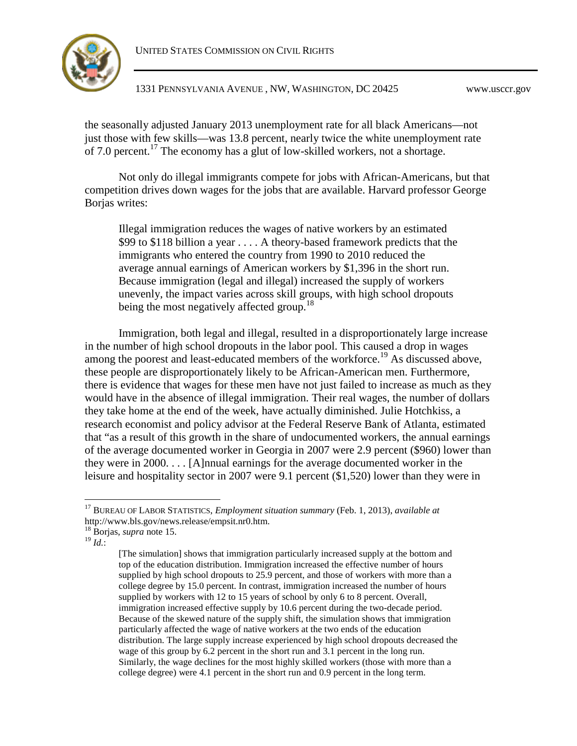UNITED STATES COMMISSION ON CIVIL RIGHTS



1331 PENNSYLVANIA AVENUE , NW, WASHINGTON, DC 20425 www.usccr.gov

the seasonally adjusted January 2013 unemployment rate for all black Americans—not just those with few skills—was 13.8 percent, nearly twice the white unemployment rate of 7.0 percent.<sup>[17](#page-3-0)</sup> The economy has a glut of low-skilled workers, not a shortage.

Not only do illegal immigrants compete for jobs with African-Americans, but that competition drives down wages for the jobs that are available. Harvard professor George Borjas writes:

Illegal immigration reduces the wages of native workers by an estimated \$99 to \$118 billion a year . . . . A theory-based framework predicts that the immigrants who entered the country from 1990 to 2010 reduced the average annual earnings of American workers by \$1,396 in the short run. Because immigration (legal and illegal) increased the supply of workers unevenly, the impact varies across skill groups, with high school dropouts being the most negatively affected group.<sup>[18](#page-3-1)</sup>

Immigration, both legal and illegal, resulted in a disproportionately large increase in the number of high school dropouts in the labor pool. This caused a drop in wages among the poorest and least-educated members of the workforce.<sup>[19](#page-3-2)</sup> As discussed above, these people are disproportionately likely to be African-American men. Furthermore, there is evidence that wages for these men have not just failed to increase as much as they would have in the absence of illegal immigration. Their real wages, the number of dollars they take home at the end of the week, have actually diminished. Julie Hotchkiss, a research economist and policy advisor at the Federal Reserve Bank of Atlanta, estimated that "as a result of this growth in the share of undocumented workers, the annual earnings of the average documented worker in Georgia in 2007 were 2.9 percent (\$960) lower than they were in 2000. . . . [A]nnual earnings for the average documented worker in the leisure and hospitality sector in 2007 were 9.1 percent (\$1,520) lower than they were in

<span id="page-3-2"></span><sup>19</sup> *Id.*:

<span id="page-3-0"></span><sup>17</sup> BUREAU OF LABOR STATISTICS, *Employment situation summary* (Feb. 1, 2013), *available at* http://www.bls.gov/news.release/empsit.nr0.htm.

<span id="page-3-1"></span><sup>18</sup> Borjas, *supra* note 15.

<sup>[</sup>The simulation] shows that immigration particularly increased supply at the bottom and top of the education distribution. Immigration increased the effective number of hours supplied by high school dropouts to 25.9 percent, and those of workers with more than a college degree by 15.0 percent. In contrast, immigration increased the number of hours supplied by workers with 12 to 15 years of school by only 6 to 8 percent. Overall, immigration increased effective supply by 10.6 percent during the two-decade period. Because of the skewed nature of the supply shift, the simulation shows that immigration particularly affected the wage of native workers at the two ends of the education distribution. The large supply increase experienced by high school dropouts decreased the wage of this group by 6.2 percent in the short run and 3.1 percent in the long run. Similarly, the wage declines for the most highly skilled workers (those with more than a college degree) were 4.1 percent in the short run and 0.9 percent in the long term.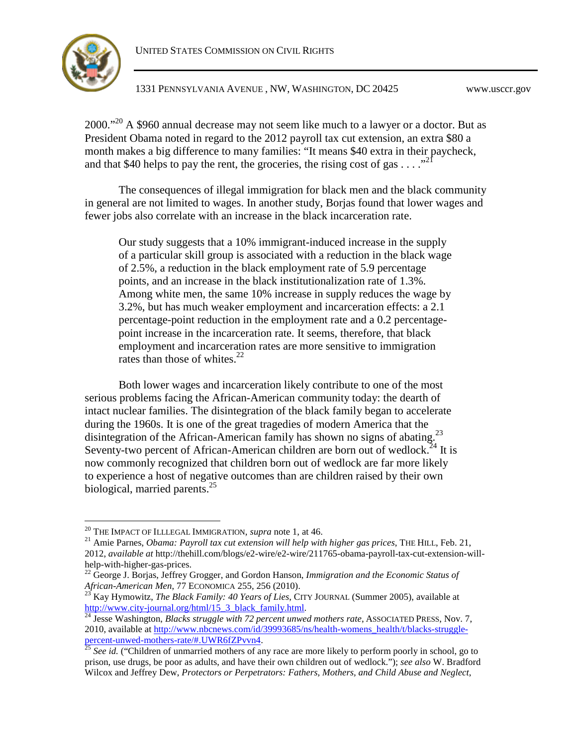

[20](#page-4-0)00."<sup>20</sup> A \$960 annual decrease may not seem like much to a lawyer or a doctor. But as President Obama noted in regard to the 2012 payroll tax cut extension, an extra \$80 a month makes a big difference to many families: "It means \$40 extra in their paycheck, andthat \$40 helps to pay the rent, the groceries, the rising cost of gas  $\dots$ ."<sup>21</sup>

The consequences of illegal immigration for black men and the black community in general are not limited to wages. In another study, Borjas found that lower wages and fewer jobs also correlate with an increase in the black incarceration rate.

Our study suggests that a 10% immigrant-induced increase in the supply of a particular skill group is associated with a reduction in the black wage of 2.5%, a reduction in the black employment rate of 5.9 percentage points, and an increase in the black institutionalization rate of 1.3%. Among white men, the same 10% increase in supply reduces the wage by 3.2%, but has much weaker employment and incarceration effects: a 2.1 percentage-point reduction in the employment rate and a 0.2 percentagepoint increase in the incarceration rate. It seems, therefore, that black employment and incarceration rates are more sensitive to immigration rates than those of whites. $^{22}$  $^{22}$  $^{22}$ 

Both lower wages and incarceration likely contribute to one of the most serious problems facing the African-American community today: the dearth of intact nuclear families. The disintegration of the black family began to accelerate during the 1960s. It is one of the great tragedies of modern America that the disintegration of the African-American family has shown no signs of abating.<sup>[23](#page-4-3)</sup> Seventy-two percent of African-American children are born out of wedlock.<sup>[24](#page-4-4)</sup> It is now commonly recognized that children born out of wedlock are far more likely to experience a host of negative outcomes than are children raised by their own biological, married parents. $^{25}$  $^{25}$  $^{25}$ 

<span id="page-4-0"></span><sup>20</sup> THE IMPACT OF ILLLEGAL IMMIGRATION, *supra* note 1, at 46.

<span id="page-4-1"></span><sup>&</sup>lt;sup>21</sup> Amie Parnes, *Obama: Payroll tax cut extension will help with higher gas prices*, THE HILL, Feb. 21, 2012, *available at* http://thehill.com/blogs/e2-wire/e2-wire/211765-obama-payroll-tax-cut-extension-willhelp-with-higher-gas-prices.

<span id="page-4-2"></span><sup>22</sup> George J. Borjas, Jeffrey Grogger, and Gordon Hanson, *Immigration and the Economic Status of African-American Men*, 77 ECONOMICA 255, 256 (2010).

<span id="page-4-3"></span><sup>23</sup> Kay Hymowitz, *The Black Family: 40 Years of Lies*, CITY JOURNAL (Summer 2005), available at http://www.city-journal.org/html/15\_3\_black\_family.html.

<span id="page-4-4"></span><sup>&</sup>lt;sup>24</sup> Jesse Washington, *Blacks struggle with 72 percent unwed mothers rate*, ASSOCIATED PRESS, Nov. 7, 2010, available at http://www.nbcnews.com/id/39993685/ns/health-womens\_health/t/blacks-strugglepercent-unwed-mothers-rate/#.UWR6fZPvvn4.

<span id="page-4-5"></span><sup>25</sup> *See id.* ("Children of unmarried mothers of any race are more likely to perform poorly in school, go to prison, use drugs, be poor as adults, and have their own children out of wedlock."); *see also* W. Bradford Wilcox and Jeffrey Dew, *Protectors or Perpetrators: Fathers, Mothers, and Child Abuse and Neglect*,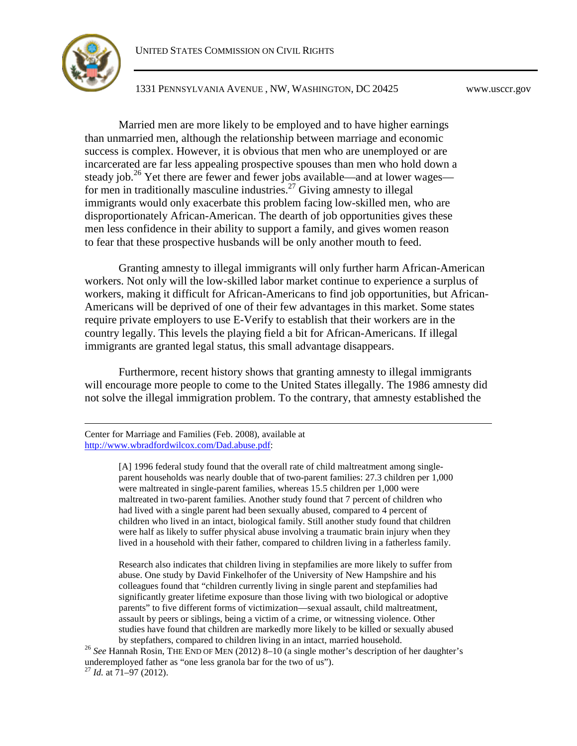

Married men are more likely to be employed and to have higher earnings than unmarried men, although the relationship between marriage and economic success is complex. However, it is obvious that men who are unemployed or are incarcerated are far less appealing prospective spouses than men who hold down a steadyjob.<sup>26</sup> Yet there are fewer and fewer jobs available—and at lower wages— for men in traditionally masculine industries.<sup>[27](#page-5-1)</sup> Giving amnesty to illegal immigrants would only exacerbate this problem facing low-skilled men, who are disproportionately African-American. The dearth of job opportunities gives these men less confidence in their ability to support a family, and gives women reason to fear that these prospective husbands will be only another mouth to feed.

Granting amnesty to illegal immigrants will only further harm African-American workers. Not only will the low-skilled labor market continue to experience a surplus of workers, making it difficult for African-Americans to find job opportunities, but African-Americans will be deprived of one of their few advantages in this market. Some states require private employers to use E-Verify to establish that their workers are in the country legally. This levels the playing field a bit for African-Americans. If illegal immigrants are granted legal status, this small advantage disappears.

Furthermore, recent history shows that granting amnesty to illegal immigrants will encourage more people to come to the United States illegally. The 1986 amnesty did not solve the illegal immigration problem. To the contrary, that amnesty established the

Center for Marriage and Families (Feb. 2008), available at http://www.wbradfordwilcox.com/Dad.abuse.pdf:

> [A] 1996 federal study found that the overall rate of child maltreatment among singleparent households was nearly double that of two-parent families: 27.3 children per 1,000 were maltreated in single-parent families, whereas 15.5 children per 1,000 were maltreated in two-parent families. Another study found that 7 percent of children who had lived with a single parent had been sexually abused, compared to 4 percent of children who lived in an intact, biological family. Still another study found that children were half as likely to suffer physical abuse involving a traumatic brain injury when they lived in a household with their father, compared to children living in a fatherless family.

> Research also indicates that children living in stepfamilies are more likely to suffer from abuse. One study by David Finkelhofer of the University of New Hampshire and his colleagues found that "children currently living in single parent and stepfamilies had significantly greater lifetime exposure than those living with two biological or adoptive parents" to five different forms of victimization—sexual assault, child maltreatment, assault by peers or siblings, being a victim of a crime, or witnessing violence. Other studies have found that children are markedly more likely to be killed or sexually abused by stepfathers, compared to children living in an intact, married household.

<span id="page-5-1"></span><span id="page-5-0"></span><sup>26</sup> See Hannah Rosin, THE END OF MEN (2012) 8-10 (a single mother's description of her daughter's underemployed father as "one less granola bar for the two of us"). <sup>27</sup> *Id.* at 71–97 (2012).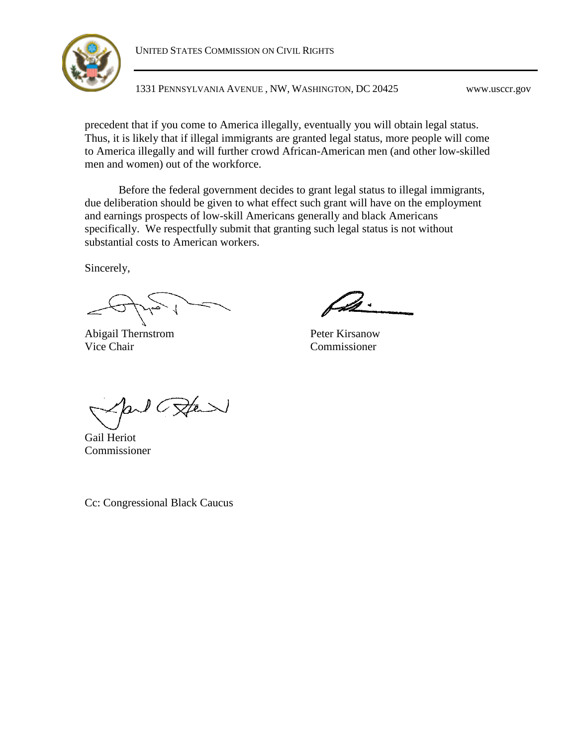



precedent that if you come to America illegally, eventually you will obtain legal status. Thus, it is likely that if illegal immigrants are granted legal status, more people will come to America illegally and will further crowd African-American men (and other low-skilled men and women) out of the workforce.

Before the federal government decides to grant legal status to illegal immigrants, due deliberation should be given to what effect such grant will have on the employment and earnings prospects of low-skill Americans generally and black Americans specifically. We respectfully submit that granting such legal status is not without substantial costs to American workers.

Sincerely,

Abigail Thernstrom Vice Chair

Peter Kirsanow Commissioner

 $1 C$ Ste

Gail Heriot Commissioner

Cc: Congressional Black Caucus